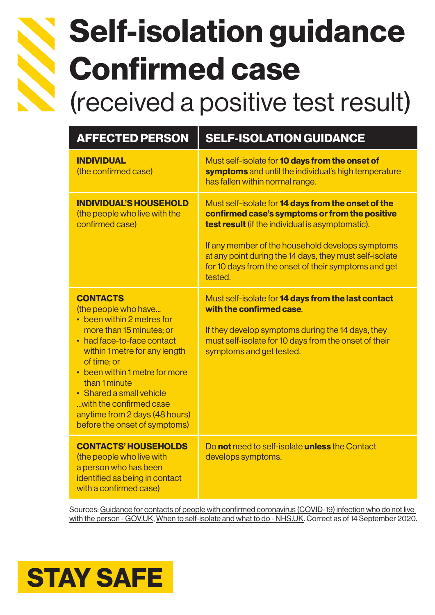

# Self-isolation guidance Confirmed case (received a positive test result)

| <b>AFFECTED PERSON</b>                                                                                                                                                                                                                                                                                                                                       | <b>SELF-ISOLATION GUIDANCE</b>                                                                                                                                                                                                                                                                                                                            |
|--------------------------------------------------------------------------------------------------------------------------------------------------------------------------------------------------------------------------------------------------------------------------------------------------------------------------------------------------------------|-----------------------------------------------------------------------------------------------------------------------------------------------------------------------------------------------------------------------------------------------------------------------------------------------------------------------------------------------------------|
| <b>INDIVIDUAL</b><br>(the confirmed case)                                                                                                                                                                                                                                                                                                                    | Must self-isolate for <b>10 days from the onset of</b><br>symptoms and until the individual's high temperature<br>has fallen within normal range.                                                                                                                                                                                                         |
| <b>INDIVIDUAL'S HOUSEHOLD</b><br>(the people who live with the<br>confirmed case)                                                                                                                                                                                                                                                                            | Must self-isolate for <b>14 days from the onset of the</b><br>confirmed case's symptoms or from the positive<br><b>test result</b> (if the individual is asymptomatic).<br>If any member of the household develops symptoms<br>at any point during the 14 days, they must self-isolate<br>for 10 days from the onset of their symptoms and get<br>tested. |
| <b>CONTACTS</b><br>(the people who have<br>• been within 2 metres for<br>more than 15 minutes; or<br>• had face-to-face contact<br>within 1 metre for any length<br>of time; or<br>• been within 1 metre for more<br>than 1 minute<br>• Shared a small vehicle<br>with the confirmed case<br>anytime from 2 days (48 hours)<br>before the onset of symptoms) | Must self-isolate for 14 days from the last contact<br>with the confirmed case.<br>If they develop symptoms during the 14 days, they<br>must self-isolate for 10 days from the onset of their<br>symptoms and get tested.                                                                                                                                 |
| <b>CONTACTS' HOUSEHOLDS</b><br>(the people who live with                                                                                                                                                                                                                                                                                                     | Do not need to self-isolate unless the Contact<br>develops symptoms.                                                                                                                                                                                                                                                                                      |

a person who has been identified as being in contact with a confirmed case)

### Sources: [Guidance for contacts of people with confirmed coronavirus \(COVID-19\) infection who do not live](https://www.gov.uk/government/publications/guidance-for-contacts-of-people-with-possible-or-confirmed-coronavirus-covid-19-infection-who-do-not-live-with-the-person/guidance-for-contacts-of-people-with-possible-or-confirmed-coronavirus-covid-19-infection-who-do-not-live-with-the-person#what-should-i-do-if-i-am-a-contact-of-someone-who-has-tested-positive-for-covid-19)  [with the person - GOV.UK,](https://www.gov.uk/government/publications/guidance-for-contacts-of-people-with-possible-or-confirmed-coronavirus-covid-19-infection-who-do-not-live-with-the-person/guidance-for-contacts-of-people-with-possible-or-confirmed-coronavirus-covid-19-infection-who-do-not-live-with-the-person#what-should-i-do-if-i-am-a-contact-of-someone-who-has-tested-positive-for-covid-19) [When to self-isolate and what to do - NHS.UK.](https://www.nhs.uk/conditions/coronavirus-covid-19/self-isolation-and-treatment/when-to-self-isolate-and-what-to-do/) Correct as of 14 September 2020.